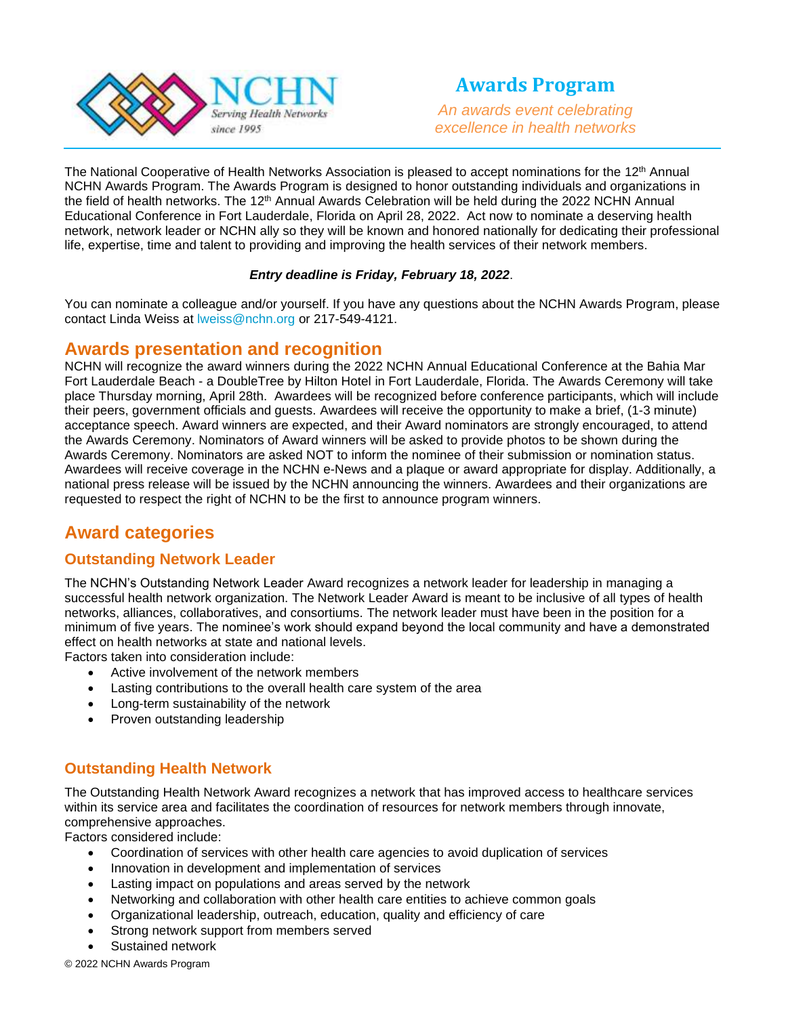

*An awards event celebrating excellence in health networks*

The National Cooperative of Health Networks Association is pleased to accept nominations for the 12<sup>th</sup> Annual NCHN Awards Program. The Awards Program is designed to honor outstanding individuals and organizations in the field of health networks. The 12<sup>th</sup> Annual Awards Celebration will be held during the 2022 NCHN Annual Educational Conference in Fort Lauderdale, Florida on April 28, 2022. Act now to nominate a deserving health network, network leader or NCHN ally so they will be known and honored nationally for dedicating their professional life, expertise, time and talent to providing and improving the health services of their network members.

#### *Entry deadline is Friday, February 18, 2022*.

You can nominate a colleague and/or yourself. If you have any questions about the NCHN Awards Program, please contact Linda Weiss at [lweiss@nchn.org](mailto:lweiss@nchn.org) or 217-549-4121.

# **Awards presentation and recognition**

NCHN will recognize the award winners during the 2022 NCHN Annual Educational Conference at the Bahia Mar Fort Lauderdale Beach - a DoubleTree by Hilton Hotel in Fort Lauderdale, Florida. The Awards Ceremony will take place Thursday morning, April 28th. Awardees will be recognized before conference participants, which will include their peers, government officials and guests. Awardees will receive the opportunity to make a brief, (1-3 minute) acceptance speech. Award winners are expected, and their Award nominators are strongly encouraged, to attend the Awards Ceremony. Nominators of Award winners will be asked to provide photos to be shown during the Awards Ceremony. Nominators are asked NOT to inform the nominee of their submission or nomination status. Awardees will receive coverage in the NCHN e-News and a plaque or award appropriate for display. Additionally, a national press release will be issued by the NCHN announcing the winners. Awardees and their organizations are requested to respect the right of NCHN to be the first to announce program winners.

# **Award categories**

### **Outstanding Network Leader**

The NCHN's Outstanding Network Leader Award recognizes a network leader for leadership in managing a successful health network organization. The Network Leader Award is meant to be inclusive of all types of health networks, alliances, collaboratives, and consortiums. The network leader must have been in the position for a minimum of five years. The nominee's work should expand beyond the local community and have a demonstrated effect on health networks at state and national levels.

Factors taken into consideration include:

- Active involvement of the network members
- Lasting contributions to the overall health care system of the area
- Long-term sustainability of the network
- Proven outstanding leadership

### **Outstanding Health Network**

The Outstanding Health Network Award recognizes a network that has improved access to healthcare services within its service area and facilitates the coordination of resources for network members through innovate, comprehensive approaches.

Factors considered include:

- Coordination of services with other health care agencies to avoid duplication of services
- Innovation in development and implementation of services
- Lasting impact on populations and areas served by the network
- Networking and collaboration with other health care entities to achieve common goals
- Organizational leadership, outreach, education, quality and efficiency of care
- Strong network support from members served
- Sustained network

© 2022 NCHN Awards Program